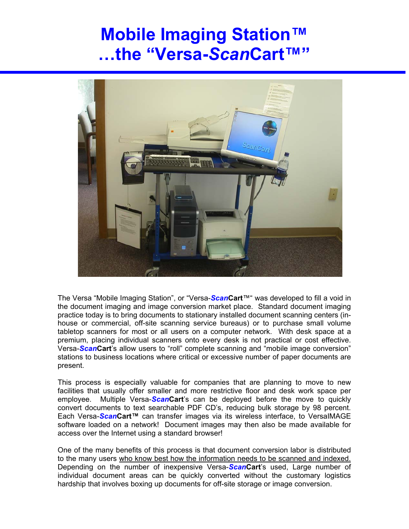## **Mobile Imaging Station™ …the "Versa-***Scan***Cart™"**



The Versa "Mobile Imaging Station", or "Versa-*Scan***Cart**™" was developed to fill a void in the document imaging and image conversion market place. Standard document imaging practice today is to bring documents to stationary installed document scanning centers (inhouse or commercial, off-site scanning service bureaus) or to purchase small volume tabletop scanners for most or all users on a computer network. With desk space at a premium, placing individual scanners onto every desk is not practical or cost effective. Versa-*Scan***Cart**'s allow users to "roll" complete scanning and "mobile image conversion" stations to business locations where critical or excessive number of paper documents are present.

This process is especially valuable for companies that are planning to move to new facilities that usually offer smaller and more restrictive floor and desk work space per employee. Multiple Versa-*Scan***Cart**'s can be deployed before the move to quickly convert documents to text searchable PDF CD's, reducing bulk storage by 98 percent. Each Versa-*Scan***Cart™** can transfer images via its wireless interface, to VersaIMAGE software loaded on a network! Document images may then also be made available for access over the Internet using a standard browser!

One of the many benefits of this process is that document conversion labor is distributed to the many users who know best how the information needs to be scanned and indexed. Depending on the number of inexpensive Versa-*Scan***Cart**'s used, Large number of individual document areas can be quickly converted without the customary logistics hardship that involves boxing up documents for off-site storage or image conversion.